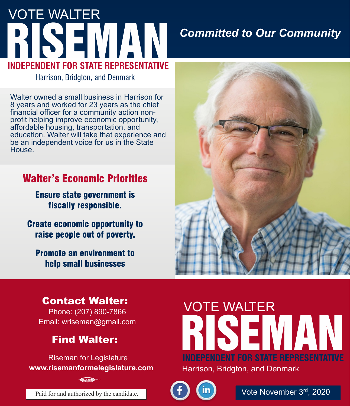# VOTE WALTER **INDEPENDENT FOR STATE REPRESENTATIVE**

### *Committed to Our Community*

Harrison, Bridgton, and Denmark

Walter owned a small business in Harrison for 8 years and worked for 23 years as the chief financial officer for a community action nonprofit helping improve economic opportunity, affordable housing, transportation, and education. Walter will take that experience and be an independent voice for us in the State House.

#### **Walter's Economic Priorities**

**Ensure state government is** fiscally responsible.

**Create economic opportunity to** raise people out of poverty.

**Promote an environment to** help small businesses



#### **Contact Walter:**

Phone: (207) 890-7866 Email: wriseman@gmail.com

#### **Find Walter:**

Riseman for Legislature **www.risemanformelegislature.com**

## VOTE WALTER **INDEPENDENT FOR STATE REPRESENTATIVE** Harrison, Bridgton, and Denmark



Vote November 3<sup>rd</sup>, 2020

Paid for and authorized by the candidate.